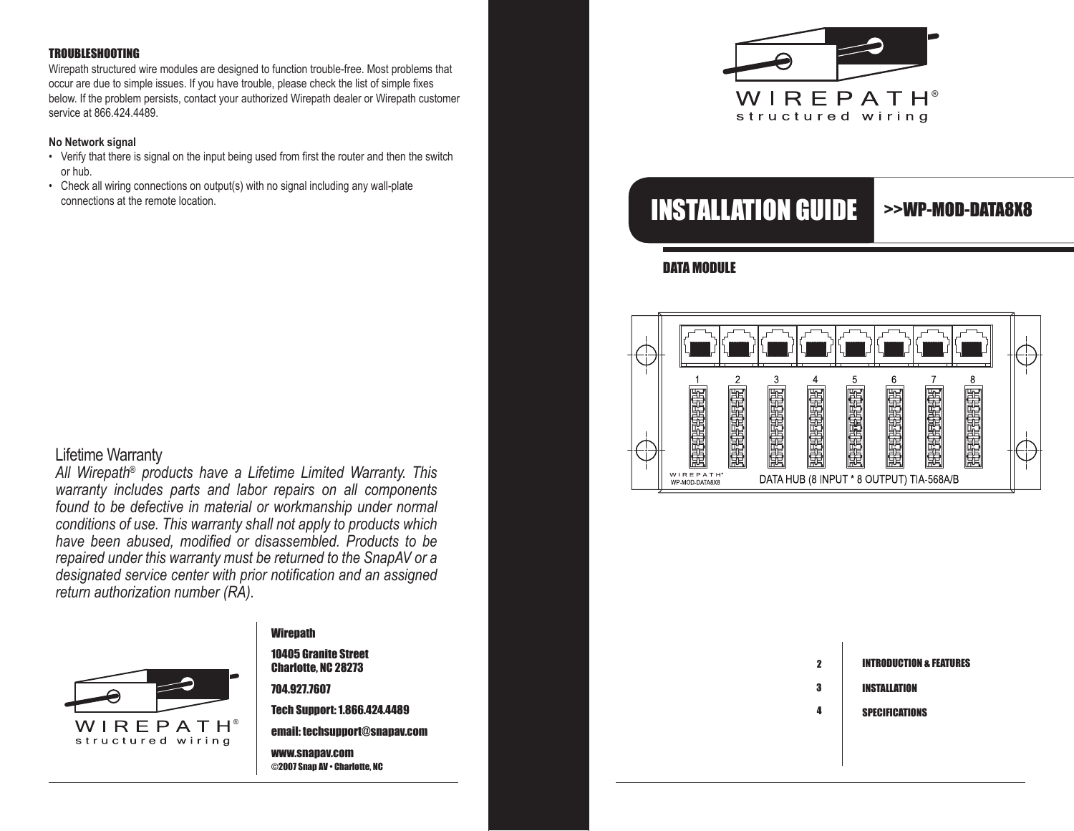#### TROUBLESHOOTING

Wirepath structured wire modules are designed to function trouble-free. Most problems that occur are due to simple issues. If you have trouble, please check the list of simple fixes below. If the problem persists, contact your authorized Wirepath dealer or Wirepath customer service at 866.424.4489.

#### **No Network signal**

- Verify that there is signal on the input being used from first the router and then the switch or hub.
- Check all wiring connections on output(s) with no signal including any wall-plate

# Lifetime Warranty

*All Wirepath® products have a Lifetime Limited Warranty. This warranty includes parts and labor repairs on all components found to be defective in material or workmanship under normal conditions of use. This warranty shall not apply to products which have been abused, modified or disassembled. Products to be repaired under this warranty must be returned to the SnapAV or a designated service center with prior notification and an assigned return authorization number (RA).* 



# **Wirepath**

10405 Granite Street Charlotte, NC 28273

704.927.7607

Tech Support: 1.866.424.4489 email: techsupport@snapav.com

www.snapav.com ©2007 Snap AV • Charlotte, NC



# connections at the remote location. **Intervention of the remote location.**

# >>WP-MOD-DATA8x8

DATA MODULE